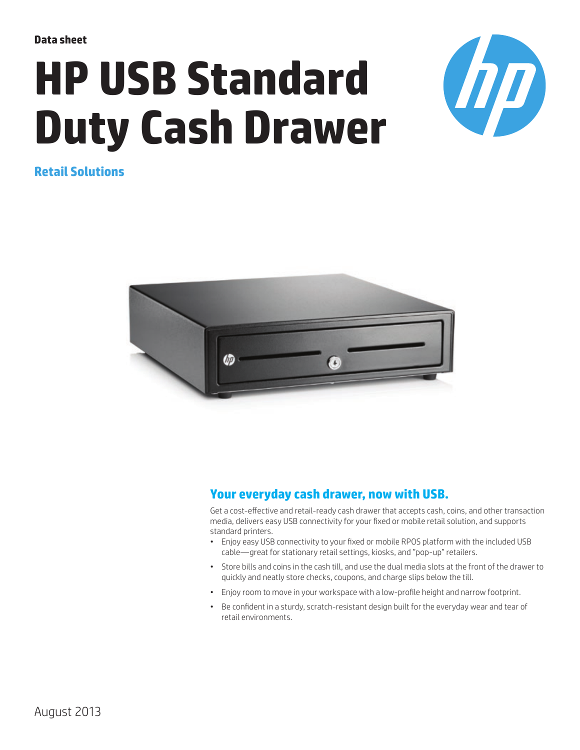**Data sheet**

# **HP USB Standard Duty Cash Drawer**



**Retail Solutions**



### **Your everyday cash drawer, now with USB.**

Get a cost-effective and retail-ready cash drawer that accepts cash, coins, and other transaction media, delivers easy USB connectivity for your fixed or mobile retail solution, and supports standard printers.

- Enjoy easy USB connectivity to your fixed or mobile RPOS platform with the included USB cable—great for stationary retail settings, kiosks, and "pop-up" retailers.
- Store bills and coins in the cash till, and use the dual media slots at the front of the drawer to quickly and neatly store checks, coupons, and charge slips below the till.
- Enjoy room to move in your workspace with a low-profile height and narrow footprint.
- Be confident in a sturdy, scratch-resistant design built for the everyday wear and tear of retail environments.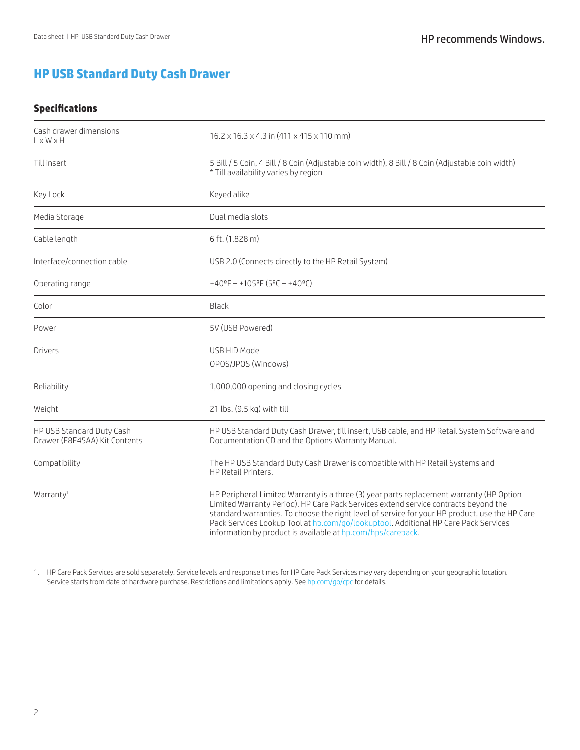## **HP USB Standard Duty Cash Drawer**

#### **Specifications**

| Cash drawer dimensions<br>$L \times W \times H$            | $16.2 \times 16.3 \times 4.3$ in $(411 \times 415 \times 110 \text{ mm})$                                                                                                                                                                                                                                                                                                                                                               |
|------------------------------------------------------------|-----------------------------------------------------------------------------------------------------------------------------------------------------------------------------------------------------------------------------------------------------------------------------------------------------------------------------------------------------------------------------------------------------------------------------------------|
| Till insert                                                | 5 Bill / 5 Coin, 4 Bill / 8 Coin (Adjustable coin width), 8 Bill / 8 Coin (Adjustable coin width)<br>* Till availability varies by region                                                                                                                                                                                                                                                                                               |
| Key Lock                                                   | Keyed alike                                                                                                                                                                                                                                                                                                                                                                                                                             |
| Media Storage                                              | Dual media slots                                                                                                                                                                                                                                                                                                                                                                                                                        |
| Cable length                                               | 6 ft. (1.828 m)                                                                                                                                                                                                                                                                                                                                                                                                                         |
| Interface/connection cable                                 | USB 2.0 (Connects directly to the HP Retail System)                                                                                                                                                                                                                                                                                                                                                                                     |
| Operating range                                            | $+40$ <sup>o</sup> F - $+105$ <sup>o</sup> F (5 <sup>o</sup> C - $+40$ <sup>o</sup> C)                                                                                                                                                                                                                                                                                                                                                  |
| Color                                                      | Black                                                                                                                                                                                                                                                                                                                                                                                                                                   |
| Power                                                      | 5V (USB Powered)                                                                                                                                                                                                                                                                                                                                                                                                                        |
| Drivers                                                    | USB HID Mode<br>OPOS/JPOS (Windows)                                                                                                                                                                                                                                                                                                                                                                                                     |
| Reliability                                                | 1,000,000 opening and closing cycles                                                                                                                                                                                                                                                                                                                                                                                                    |
| Weight                                                     | 21 lbs. (9.5 kg) with till                                                                                                                                                                                                                                                                                                                                                                                                              |
| HP USB Standard Duty Cash<br>Drawer (E8E45AA) Kit Contents | HP USB Standard Duty Cash Drawer, till insert, USB cable, and HP Retail System Software and<br>Documentation CD and the Options Warranty Manual.                                                                                                                                                                                                                                                                                        |
| Compatibility                                              | The HP USB Standard Duty Cash Drawer is compatible with HP Retail Systems and<br>HP Retail Printers.                                                                                                                                                                                                                                                                                                                                    |
| Warranty <sup>1</sup>                                      | HP Peripheral Limited Warranty is a three (3) year parts replacement warranty (HP Option<br>Limited Warranty Period). HP Care Pack Services extend service contracts beyond the<br>standard warranties. To choose the right level of service for your HP product, use the HP Care<br>Pack Services Lookup Tool at hp.com/go/lookuptool. Additional HP Care Pack Services<br>information by product is available at hp.com/hps/carepack. |

1. HP Care Pack Services are sold separately. Service levels and response times for HP Care Pack Services may vary depending on your geographic location. Service starts from date of hardware purchase. Restrictions and limitations apply. See [hp.com/go/cpc](http://www.hp.com/go/cpc) for details.